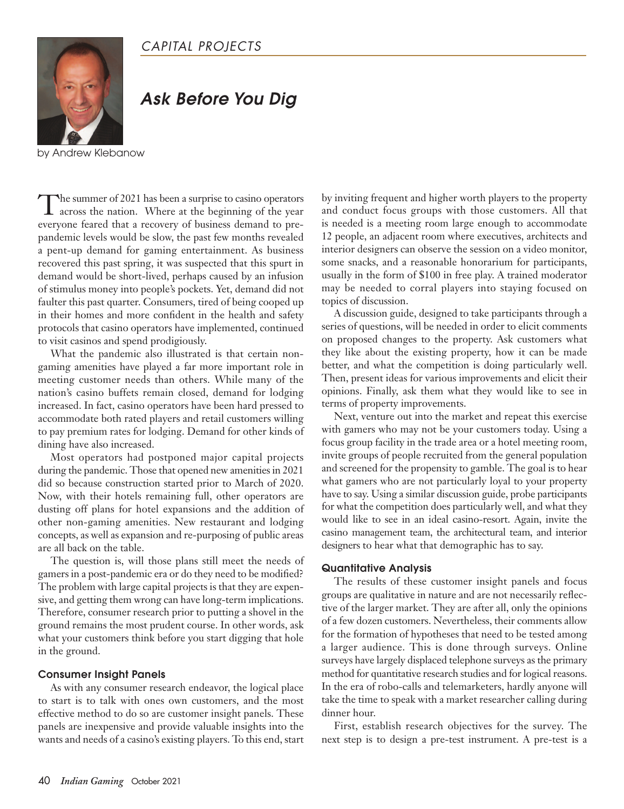### *CAPITAL PROJECTS*



## *Ask Before You Dig*

by Andrew Klebanow

The summer of <sup>2021</sup> has been <sup>a</sup> surprise to casino operators across the nation. Where at the beginning of the year everyone feared that a recovery of business demand to prepandemic levels would be slow, the past few months revealed a pent-up demand for gaming entertainment. As business recovered this past spring, it was suspected that this spurt in demand would be short-lived, perhaps caused by an infusion of stimulus money into people's pockets. Yet, demand did not faulter this past quarter. Consumers, tired of being cooped up in their homes and more confident in the health and safety protocols that casino operators have implemented, continued to visit casinos and spend prodigiously.

What the pandemic also illustrated is that certain nongaming amenities have played a far more important role in meeting customer needs than others. While many of the nation's casino buffets remain closed, demand for lodging increased. In fact, casino operators have been hard pressed to accommodate both rated players and retail customers willing to pay premium rates for lodging. Demand for other kinds of dining have also increased.

Most operators had postponed major capital projects during the pandemic. Those that opened new amenities in 2021 did so because construction started prior to March of 2020. Now, with their hotels remaining full, other operators are dusting off plans for hotel expansions and the addition of other non-gaming amenities. New restaurant and lodging concepts, as well as expansion and re-purposing of public areas are all back on the table.

The question is, will those plans still meet the needs of gamers in a post-pandemic era or do they need to be modified? The problem with large capital projects is that they are expensive, and getting them wrong can have long-term implications. Therefore, consumer research prior to putting a shovel in the ground remains the most prudent course. In other words, ask what your customers think before you start digging that hole in the ground.

#### **Consumer Insight Panels**

As with any consumer research endeavor, the logical place to start is to talk with ones own customers, and the most effective method to do so are customer insight panels. These panels are inexpensive and provide valuable insights into the wants and needs of a casino's existing players. To this end, start

by inviting frequent and higher worth players to the property and conduct focus groups with those customers. All that is needed is a meeting room large enough to accommodate 12 people, an adjacent room where executives, architects and interior designers can observe the session on a video monitor, some snacks, and a reasonable honorarium for participants, usually in the form of \$100 in free play. A trained moderator may be needed to corral players into staying focused on topics of discussion.

A discussion guide, designed to take participants through a series of questions, will be needed in order to elicit comments on proposed changes to the property. Ask customers what they like about the existing property, how it can be made better, and what the competition is doing particularly well. Then, present ideas for various improvements and elicit their opinions. Finally, ask them what they would like to see in terms of property improvements.

Next, venture out into the market and repeat this exercise with gamers who may not be your customers today. Using a focus group facility in the trade area or a hotel meeting room, invite groups of people recruited from the general population and screened for the propensity to gamble. The goal is to hear what gamers who are not particularly loyal to your property have to say. Using a similar discussion guide, probe participants for what the competition does particularly well, and what they would like to see in an ideal casino-resort. Again, invite the casino management team, the architectural team, and interior designers to hear what that demographic has to say.

#### **Quantitative Analysis**

The results of these customer insight panels and focus groups are qualitative in nature and are not necessarily reflective of the larger market. They are after all, only the opinions of a few dozen customers. Nevertheless, their comments allow for the formation of hypotheses that need to be tested among a larger audience. This is done through surveys. Online surveys have largely displaced telephone surveys as the primary method for quantitative research studies and for logical reasons. In the era of robo-calls and telemarketers, hardly anyone will take the time to speak with a market researcher calling during dinner hour.

First, establish research objectives for the survey. The next step is to design a pre-test instrument. A pre-test is a